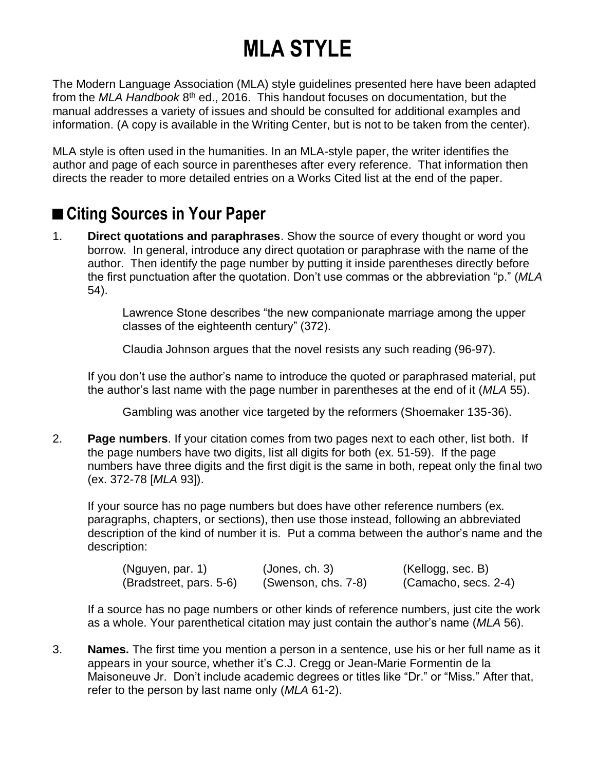## **MLA STYLE**

The Modern Language Association (MLA) style guidelines presented here have been adapted from the *MLA Handbook* 8<sup>th</sup> ed., 2016. This handout focuses on documentation, but the manual addresses a variety of issues and should be consulted for additional examples and information. (A copy is available in the Writing Center, but is not to be taken from the center).

MLA style is often used in the humanities. In an MLA-style paper, the writer identifies the author and page of each source in parentheses after every reference. That information then directs the reader to more detailed entries on a Works Cited list at the end of the paper.

## ■ Citing Sources in Your Paper

1. **Direct quotations and paraphrases**. Show the source of every thought or word you borrow. In general, introduce any direct quotation or paraphrase with the name of the author. Then identify the page number by putting it inside parentheses directly before the first punctuation after the quotation. Don't use commas or the abbreviation "p." (*MLA* 54).

> Lawrence Stone describes "the new companionate marriage among the upper classes of the eighteenth century" (372).

Claudia Johnson argues that the novel resists any such reading (96-97).

If you don't use the author's name to introduce the quoted or paraphrased material, put the author's last name with the page number in parentheses at the end of it (*MLA* 55).

Gambling was another vice targeted by the reformers (Shoemaker 135-36).

2. **Page numbers**. If your citation comes from two pages next to each other, list both. If the page numbers have two digits, list all digits for both (ex. 51-59). If the page numbers have three digits and the first digit is the same in both, repeat only the final two (ex. 372-78 [*MLA* 93]).

If your source has no page numbers but does have other reference numbers (ex. paragraphs, chapters, or sections), then use those instead, following an abbreviated description of the kind of number it is. Put a comma between the author's name and the description:

| (Nguyen, par. 1)        | (Jones, ch. 3)      | (Kellogg, sec. B)    |
|-------------------------|---------------------|----------------------|
| (Bradstreet, pars. 5-6) | (Swenson, chs. 7-8) | (Camacho, secs. 2-4) |

If a source has no page numbers or other kinds of reference numbers, just cite the work as a whole. Your parenthetical citation may just contain the author's name (*MLA* 56).

3. **Names.** The first time you mention a person in a sentence, use his or her full name as it appears in your source, whether it's C.J. Cregg or Jean-Marie Formentin de la Maisoneuve Jr. Don't include academic degrees or titles like "Dr." or "Miss." After that, refer to the person by last name only (*MLA* 61-2).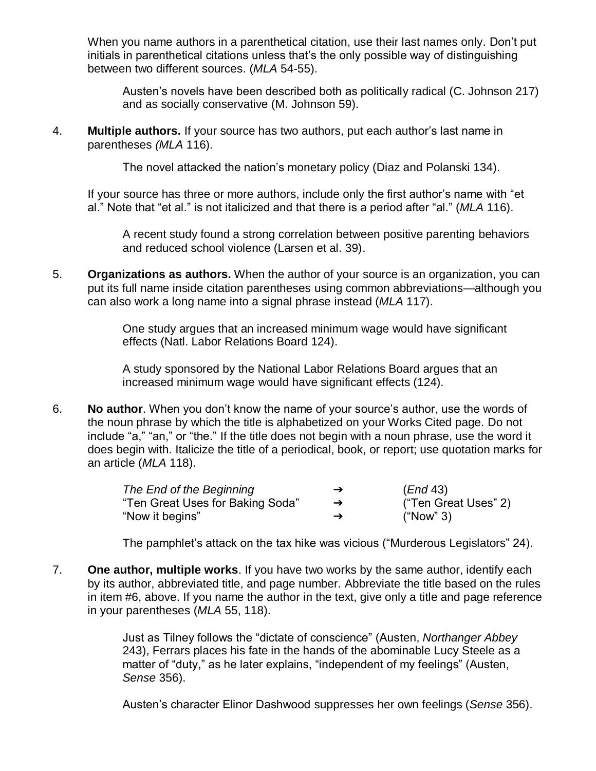When you name authors in a parenthetical citation, use their last names only. Don't put initials in parenthetical citations unless that's the only possible way of distinguishing between two different sources. (*MLA* 54-55).

Austen's novels have been described both as politically radical (C. Johnson 217) and as socially conservative (M. Johnson 59).

4. **Multiple authors.** If your source has two authors, put each author's last name in parentheses *(MLA* 116).

The novel attacked the nation's monetary policy (Diaz and Polanski 134).

If your source has three or more authors, include only the first author's name with "et al." Note that "et al." is not italicized and that there is a period after "al." (*MLA* 116).

A recent study found a strong correlation between positive parenting behaviors and reduced school violence (Larsen et al. 39).

5. **Organizations as authors.** When the author of your source is an organization, you can put its full name inside citation parentheses using common abbreviations—although you can also work a long name into a signal phrase instead (*MLA* 117).

> One study argues that an increased minimum wage would have significant effects (Natl. Labor Relations Board 124).

A study sponsored by the National Labor Relations Board argues that an increased minimum wage would have significant effects (124).

6. **No author**. When you don't know the name of your source's author, use the words of the noun phrase by which the title is alphabetized on your Works Cited page. Do not include "a," "an," or "the." If the title does not begin with a noun phrase, use the word it does begin with. Italicize the title of a periodical, book, or report; use quotation marks for an article (*MLA* 118).

| The End of the Beginning         | $\rightarrow$ | (End 43)             |
|----------------------------------|---------------|----------------------|
| "Ten Great Uses for Baking Soda" | $\rightarrow$ | ("Ten Great Uses" 2) |
| "Now it begins"                  | →             | ("Now" 3)            |

The pamphlet's attack on the tax hike was vicious ("Murderous Legislators" 24).

7. **One author, multiple works**. If you have two works by the same author, identify each by its author, abbreviated title, and page number. Abbreviate the title based on the rules in item #6, above. If you name the author in the text, give only a title and page reference in your parentheses (*MLA* 55, 118).

> Just as Tilney follows the "dictate of conscience" (Austen, *Northanger Abbey* 243), Ferrars places his fate in the hands of the abominable Lucy Steele as a matter of "duty," as he later explains, "independent of my feelings" (Austen, *Sense* 356).

Austen's character Elinor Dashwood suppresses her own feelings (*Sense* 356).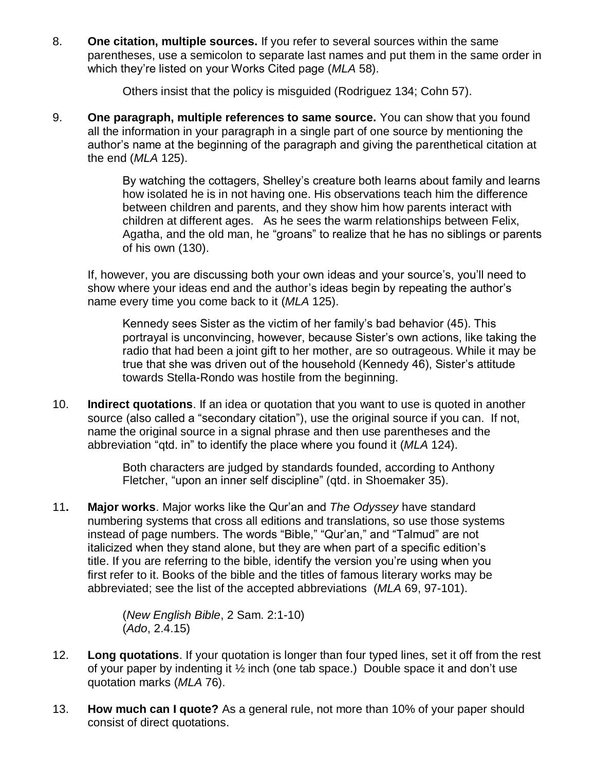8. **One citation, multiple sources.** If you refer to several sources within the same parentheses, use a semicolon to separate last names and put them in the same order in which they're listed on your Works Cited page (*MLA* 58).

Others insist that the policy is misguided (Rodriguez 134; Cohn 57).

9. **One paragraph, multiple references to same source.** You can show that you found all the information in your paragraph in a single part of one source by mentioning the author's name at the beginning of the paragraph and giving the parenthetical citation at the end (*MLA* 125).

> By watching the cottagers, Shelley's creature both learns about family and learns how isolated he is in not having one. His observations teach him the difference between children and parents, and they show him how parents interact with children at different ages. As he sees the warm relationships between Felix, Agatha, and the old man, he "groans" to realize that he has no siblings or parents of his own (130).

If, however, you are discussing both your own ideas and your source's, you'll need to show where your ideas end and the author's ideas begin by repeating the author's name every time you come back to it (*MLA* 125).

Kennedy sees Sister as the victim of her family's bad behavior (45). This portrayal is unconvincing, however, because Sister's own actions, like taking the radio that had been a joint gift to her mother, are so outrageous. While it may be true that she was driven out of the household (Kennedy 46), Sister's attitude towards Stella-Rondo was hostile from the beginning.

10. **Indirect quotations**. If an idea or quotation that you want to use is quoted in another source (also called a "secondary citation"), use the original source if you can. If not, name the original source in a signal phrase and then use parentheses and the abbreviation "qtd. in" to identify the place where you found it (*MLA* 124).

> Both characters are judged by standards founded, according to Anthony Fletcher, "upon an inner self discipline" (qtd. in Shoemaker 35).

11**. Major works**. Major works like the Qur'an and *The Odyssey* have standard numbering systems that cross all editions and translations, so use those systems instead of page numbers. The words "Bible," "Qur'an," and "Talmud" are not italicized when they stand alone, but they are when part of a specific edition's title. If you are referring to the bible, identify the version you're using when you first refer to it. Books of the bible and the titles of famous literary works may be abbreviated; see the list of the accepted abbreviations (*MLA* 69, 97-101).

> (*New English Bible*, 2 Sam. 2:1-10) (*Ado*, 2.4.15)

- 12. **Long quotations**. If your quotation is longer than four typed lines, set it off from the rest of your paper by indenting it ½ inch (one tab space.) Double space it and don't use quotation marks (*MLA* 76).
- 13. **How much can I quote?** As a general rule, not more than 10% of your paper should consist of direct quotations.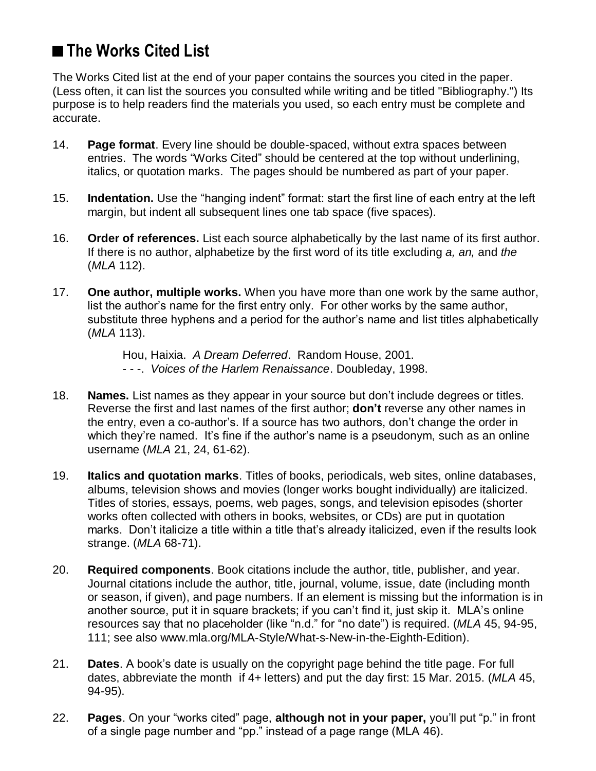## **■The Works Cited List**

The Works Cited list at the end of your paper contains the sources you cited in the paper. (Less often, it can list the sources you consulted while writing and be titled "Bibliography.") Its purpose is to help readers find the materials you used, so each entry must be complete and accurate.

- 14. **Page format**. Every line should be double-spaced, without extra spaces between entries. The words "Works Cited" should be centered at the top without underlining, italics, or quotation marks. The pages should be numbered as part of your paper.
- 15. **Indentation.** Use the "hanging indent" format: start the first line of each entry at the left margin, but indent all subsequent lines one tab space (five spaces).
- 16. **Order of references.** List each source alphabetically by the last name of its first author. If there is no author, alphabetize by the first word of its title excluding *a, an,* and *the* (*MLA* 112).
- 17. **One author, multiple works.** When you have more than one work by the same author, list the author's name for the first entry only. For other works by the same author, substitute three hyphens and a period for the author's name and list titles alphabetically (*MLA* 113).

Hou, Haixia. *A Dream Deferred*. Random House, 2001. - - -. *Voices of the Harlem Renaissance*. Doubleday, 1998.

- 18. **Names.** List names as they appear in your source but don't include degrees or titles. Reverse the first and last names of the first author; **don't** reverse any other names in the entry, even a co-author's. If a source has two authors, don't change the order in which they're named. It's fine if the author's name is a pseudonym, such as an online username (*MLA* 21, 24, 61-62).
- 19. **Italics and quotation marks**. Titles of books, periodicals, web sites, online databases, albums, television shows and movies (longer works bought individually) are italicized. Titles of stories, essays, poems, web pages, songs, and television episodes (shorter works often collected with others in books, websites, or CDs) are put in quotation marks. Don't italicize a title within a title that's already italicized, even if the results look strange. (*MLA* 68-71).
- 20. **Required components**. Book citations include the author, title, publisher, and year. Journal citations include the author, title, journal, volume, issue, date (including month or season, if given), and page numbers. If an element is missing but the information is in another source, put it in square brackets; if you can't find it, just skip it. MLA's online resources say that no placeholder (like "n.d." for "no date") is required. (*MLA* 45, 94-95, 111; see also www.mla.org/MLA-Style/What-s-New-in-the-Eighth-Edition).
- 21. **Dates**. A book's date is usually on the copyright page behind the title page. For full dates, abbreviate the month if 4+ letters) and put the day first: 15 Mar. 2015. (*MLA* 45, 94-95).
- 22. **Pages**. On your "works cited" page, **although not in your paper,** you'll put "p." in front of a single page number and "pp." instead of a page range (MLA 46).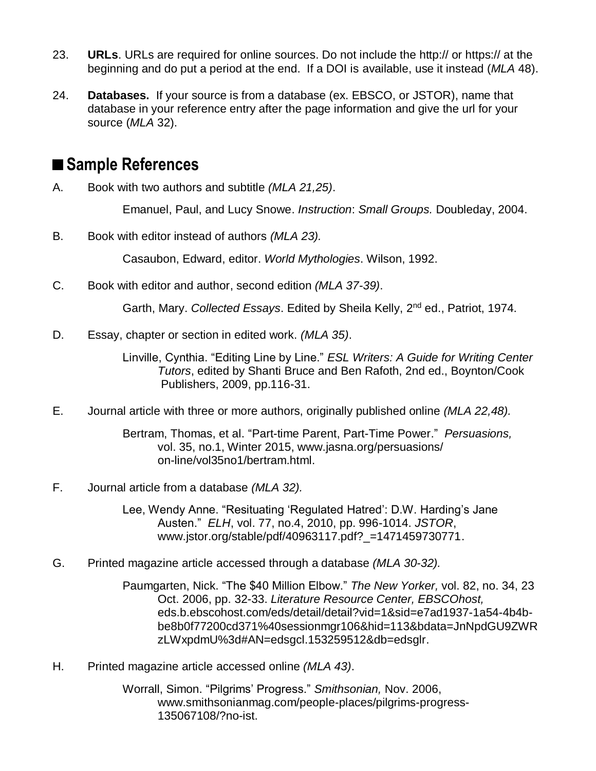- 23. **URLs**. URLs are required for online sources. Do not include the http:// or https:// at the beginning and do put a period at the end. If a DOI is available, use it instead (*MLA* 48).
- 24. **Databases.** If your source is from a database (ex. EBSCO, or JSTOR), name that database in your reference entry after the page information and give the url for your source (*MLA* 32).

## **■Sample References**

A. Book with two authors and subtitle *(MLA 21,25)*.

Emanuel, Paul, and Lucy Snowe. *Instruction*: *Small Groups.* Doubleday, 2004.

B. Book with editor instead of authors *(MLA 23).*

Casaubon, Edward, editor. *World Mythologies*. Wilson, 1992.

C. Book with editor and author, second edition *(MLA 37-39)*.

Garth, Mary. Collected Essays. Edited by Sheila Kelly, 2<sup>nd</sup> ed., Patriot, 1974.

D. Essay, chapter or section in edited work. *(MLA 35)*.

Linville, Cynthia. "Editing Line by Line." *ESL Writers: A Guide for Writing Center Tutors*, edited by Shanti Bruce and Ben Rafoth, 2nd ed., Boynton/Cook Publishers, 2009, pp.116-31.

E. Journal article with three or more authors, originally published online *(MLA 22,48).*

Bertram, Thomas, et al. "Part-time Parent, Part-Time Power." *Persuasions,* vol. 35, no.1, Winter 2015, www.jasna.org/persuasions/ on-line/vol35no1/bertram.html.

F. Journal article from a database *(MLA 32).*

Lee, Wendy Anne. "Resituating 'Regulated Hatred': D.W. Harding's Jane Austen." *ELH*, vol. 77, no.4, 2010, pp. 996-1014. *JSTOR*, www.jstor.org/stable/pdf/40963117.pdf?\_=1471459730771.

G. Printed magazine article accessed through a database *(MLA 30-32).*

Paumgarten, Nick. "The \$40 Million Elbow." *The New Yorker,* vol. 82, no. 34, 23 Oct. 2006, pp. 32-33. *Literature Resource Center, EBSCOhost,*  eds.b.ebscohost.com/eds/detail/detail?vid=1&sid=e7ad1937-1a54-4b4bbe8b0f77200cd371%40sessionmgr106&hid=113&bdata=JnNpdGU9ZWR zLWxpdmU%3d#AN=edsgcl.153259512&db=edsglr.

H. Printed magazine article accessed online *(MLA 43)*.

Worrall, Simon. "Pilgrims' Progress." *Smithsonian,* Nov. 2006, www.smithsonianmag.com/people-places/pilgrims-progress-135067108/?no-ist.